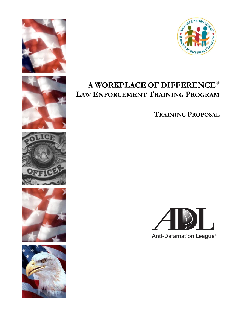











### **A WORKPLACE OF DIFFERENCE® LAW ENFORCEMENT TRAINING PROGRAM**

**TRAINING PROPOSAL**

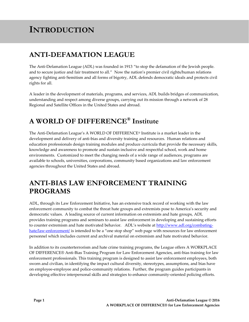# **INTRODUCTION**

### **ANTI-DEFAMATION LEAGUE**

The Anti-Defamation League (ADL) was founded in 1913 "to stop the defamation of the Jewish people. and to secure justice and fair treatment to all." Now the nation's premier civil rights/human relations agency fighting anti-Semitism and all forms of bigotry, ADL defends democratic ideals and protects civil rights for all.

A leader in the development of materials, programs, and services, ADL builds bridges of communication, understanding and respect among diverse groups, carrying out its mission through a network of 28 Regional and Satellite Offices in the United States and abroad.

### **A WORLD OF DIFFERENCE® Institute**

The Anti-Defamation League's A WORLD OF DIFFERENCE® Institute is a market leader in the development and delivery of anti-bias and diversity training and resources. Human relations and education professionals design training modules and produce curricula that provide the necessary skills, knowledge and awareness to promote and sustain inclusive and respectful school, work and home environments. Customized to meet the changing needs of a wide range of audiences, programs are available to schools, universities, corporations, community based organizations and law enforcement agencies throughout the United States and abroad.

#### **ANTI-BIAS LAW ENFORCEMENT TRAINING PROGRAMS**

ADL, through its Law Enforcement Initiative, has an extensive track record of working with the law enforcement community to combat the threat hate groups and extremists pose to America's security and democratic values. A leading source of current information on extremists and hate groups, ADL provides training programs and seminars to assist law enforcement in developing and sustaining efforts to counter extremism and hate motivated behavior. ADL's website at [http://www.adl.org/combating](http://www.adl.org/combating-hate/law-enforcement/)[hate/law-enforcement/](http://www.adl.org/combating-hate/law-enforcement/) is intended to be a "one stop shop" web page with resources for law enforcement personnel which includes current and archival material on extremism and hate motivated behavior.

In addition to its counterterrorism and hate crime training programs, the League offers A WORKPLACE OF DIFFERENCE® Anti-Bias Training Program for Law Enforcement Agencies, anti-bias training for law enforcement professionals. This training program is designed to assist law enforcement employees, both sworn and civilian, in identifying the impact cultural diversity, stereotypes, assumptions, and bias have on employee-employee and police-community relations. Further, the program guides participants in developing effective interpersonal skills and strategies to enhance community-oriented policing efforts.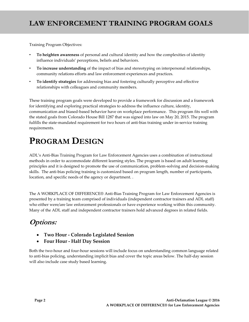### **LAW ENFORCEMENT TRAINING PROGRAM GOALS**

Training Program Objectives:

- **To heighten awareness** of personal and cultural identity and how the complexities of identity influence individuals' perceptions, beliefs and behaviors.
- **To increase understanding** of the impact of bias and stereotyping on interpersonal relationships, community relations efforts and law enforcement experiences and practices.
- **To identify strategies** for addressing bias and fostering culturally perceptive and effective relationships with colleagues and community members.

These training program goals were developed to provide a framework for discussion and a framework for identifying and exploring practical strategies to address the influence culture, identity, communication and biased-based behavior have on workplace performance. This program fits well with the stated goals from Colorado House Bill 1287 that was signed into law on May 20, 2015. The program fulfills the state-mandated requirement for two hours of anti-bias training under in-service training requirements.

## **PROGRAM DESIGN**

ADL's Anti-Bias Training Program for Law Enforcement Agencies uses a combination of instructional methods in order to accommodate different learning styles. The program is based on adult learning principles and it is designed to promote the use of communication, problem-solving and decision-making skills. The anti-bias policing training is customized based on program length, number of participants, location, and specific needs of the agency or department. .

The A WORKPLACE OF DIFFERENCE® Anti-Bias Training Program for Law Enforcement Agencies is presented by a training team comprised of individuals (independent contractor trainers and ADL staff) who either were/are law enforcement professionals or have experience working within this community. Many of the ADL staff and independent contractor trainers hold advanced degrees in related fields.

### **Options:**

- **Two Hour - Colorado Legislated Session**
- **Four Hour - Half Day Session**

Both the two-hour and four-hour sessions will include focus on understanding common language related to anti-bias policing, understanding implicit bias and cover the topic areas below. The half-day session will also include case study based learning.